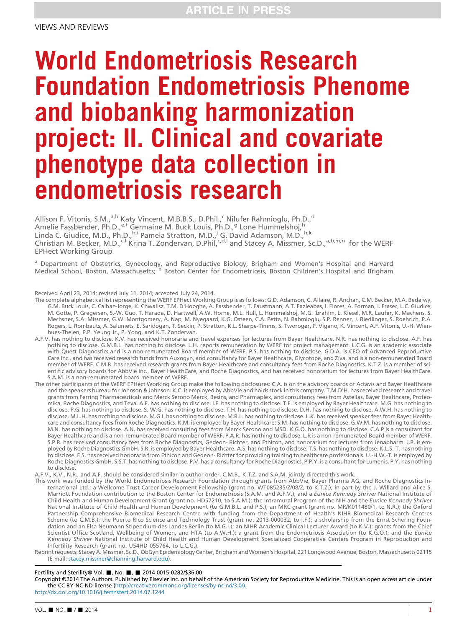# World Endometriosis Research Foundation Endometriosis Phenome and biobanking harmonization project: II. Clinical and covariate phenotype data collection in endometriosis research

Allison F. Vitonis, S.M.,<sup>a,b</sup> Katy Vincent, M.B.B.S., D.Phil.,<sup>c</sup> Nilufer Rahmioglu, Ph.D.,<sup>d</sup> Amelie Fassbender, Ph.D.,<sup>e,f</sup> Germaine M. Buck Louis, Ph.D.,<sup>g</sup> Lone Hummelshoj,<sup>h</sup> Linda C. Giudice, M.D., Ph.D.,<sup>h,i</sup> Pamela Stratton, M.D.,<sup>j</sup> G. David Adamson, M.D.,<sup>h,k</sup> Christian M. Becker, M.D.,<sup>c,l</sup> Krina T. Zondervan, D.Phil,<sup>c,d,l</sup> and Stacey A. Missmer, Sc.D.,<sup>a,b,m,n</sup> for the WERF EPHect Working Group

<sup>a</sup> Department of Obstetrics, Gynecology, and Reproductive Biology, Brigham and Women's Hospital and Harvard Medical School, Boston, Massachusetts; b Boston Center for Endometriosis, Boston Children's Hospital and Brigham

- Received April 23, 2014; revised July 11, 2014; accepted July 24, 2014.<br>The complete alphabetical list representing the WERF EPHect Working Group is as follows: G.D. Adamson, C. Allaire, R. Anchan, C.M. Becker, M.A. Bedaiw G.M. Buck Louis, C. Calhaz-Jorge, K. Chwalisz, T.M. D'Hooghe, A. Fassbender, T. Faustmann, A.T. Fazleabas, I. Flores, A. Forman, I. Fraser, L.C. Giudice, M. Gotte, P. Gregersen, S.-W. Guo, T. Harada, D. Hartwell, A.W. Horne, M.L. Hull, L. Hummelshoj, M.G. Ibrahim, L. Kiesel, M.R. Laufer, K. Machens, S. Mechsner, S.A. Missmer, G.W. Montgomery, A. Nap, M. Nyegaard, K.G. Osteen, C.A. Petta, N. Rahmioglu, S.P. Renner, J. Riedlinger, S. Roehrich, P.A. Rogers, L. Rombauts, A. Salumets, E. Saridogan, T. Seckin, P. Stratton, K.L. Sharpe-Timms, S. Tworoger, P. Vigano, K. Vincent, A.F. Vitonis, U.-H. Wienhues-Thelen, P.P. Yeung Jr., P. Yong, and K.T. Zondervan.
- A.F.V. has nothing to disclose. K.V. has received honoraria and travel expenses for lectures from Bayer Healthcare. N.R. has nothing to disclose. A.F. has nothing to disclose. G.M.B.L. has nothing to disclose. L.H. reports remuneration by WERF for project management. L.C.G. is an academic associate with Quest Diagnostics and is a non-remunerated Board member of WERF. P.S. has nothing to disclose. G.D.A. is CEO of Advanced Reproductive Care Inc., and has received research funds from Auxogyn, and consultancy for Bayer Healthcare, Glycotope, and Ziva, and is a non-remunerated Board member of WERF. C.M.B. has received research grants from Bayer Healthcare and consultancy fees from Roche Diagnostics. K.T.Z. is a member of scientific advisory boards for AbbVie Inc., Bayer HealthCare, and Roche Diagnostics, and has received honorarium for lectures from Bayer HealthCare. S.A.M. is a non-remunerated board member of WERF.
- The other participants of the WERF EPHect Working Group make the following disclosures: C.A. is on the advisory boards of Actavis and Bayer Healthcare and the speakers bureau for Johnson & Johnson. K.C. is employed by AbbVie and holds stock in this company. T.M.D'H. has received research and travel grants from Ferring Pharmaceuticals and Merck Serono Merck, Besins, and Pharmaplex, and consultancy fees from Astellas, Bayer Healthcare, Proteomika, Roche Diagnostics, and Teva. A.F. has nothing to disclose. I.F. has nothing to disclose. T.F. is employed by Bayer Healthcare. M.G. has nothing to disclose. P.G. has nothing to disclose. S.-W.G. has nothing to disclose. T.H. has nothing to disclose. D.H. has nothing to disclose. A.W.H. has nothing to disclose. M.L.H. has nothing to disclose. M.G.I. has nothing to disclose. M.R.L. has nothing to disclose. L.K. has received speaker fees from Bayer Healthcare and consultancy fees from Roche Diagnostics. K.M. is employed by Bayer Healthcare; S.M. has nothing to disclose. G.W.M. has nothing to disclose. M.N. has nothing to disclose. A.N. has received consulting fees from Merck Serono and MSD. K.G.O. has nothing to disclose. C.A.P is a consultant for Bayer Healthcare and is a non-remunerated Board member of WERF. P.A.R. has nothing to disclose. L.R is a non-remunerated Board member of WERF. S.P.R. has received consultancy fees from Roche Diagnostics, Gedeon- Richter, and Ethicon, and honorarium for lectures from Jenapharm. J.R. is employed by Roche Diagnostics GmbH. S.R. is employed by Bayer Healthcare. A.S. has nothing to disclose. T.S. has nothing to disclose. K.L.S.-T. has nothing<br>to disclose. E.S. has received honoraria from Ethicon and Gedeon- Ri Roche Diagnostics GmbH. S.S.T. has nothing to disclose. P.V. has a consultancy for Roche Diagnostics. P.P.Y. is a consultant for Lumenis. P.Y. has nothing to disclose.

A.F.V., K.V., N.R., and A.F. should be considered similar in author order. C.M.B., K.T.Z, and S.A.M. jointly directed this work.

- This work was funded by the World Endometriosis Research Foundation through grants from AbbVie, Bayer Pharma AG, and Roche Diagnostics International Ltd.; a Wellcome Trust Career Development Fellowship (grant no. WT085235/Z/08/Z, to K.T.Z.); in part by the J. Willard and Alice S. Marriott Foundation contribution to the Boston Center for Endometriosis (S.A.M. and A.F.V.), and a Eunice Kennedy Shriver National Institute of Child Health and Human Development Grant (grant no. HD57210, to S.A.M.); the Intramural Program of the NIH and the Eunice Kennedy Shriver National Institute of Child Health and Human Development (to G.M.B.L. and P.S.); an MRC grant (grant no. MR/K011480/1, to N.R.); the Oxford<br>Partnership Comprehensive Biomedical Research Centre with funding from the Departm Scheme (to C.M.B.); the Puerto Rico Science and Technology Trust (grant no. 2013-000032, to I.F.); a scholarship from the Ernst Schering Foun-<br>dation and an Elsa Neumann Stipendium des Landes Berlin (to M.G.I.); an NIHR Ac Scientist Office Scotland, Wellbeing of Women, and HTA (to A.W.H.); a grant from the Endometriosis Association (to K.G.O.); and the Eunice Kennedy Shriver National Institute of Child Health and Human Development Specialized Cooperative Centers Program in Reproduction and Infertility Research (grant no. U54HD 055764, to L.C.G.).
- Reprint requests: Stacey A.Missmer, Sc.D., ObGyn Epidemiology Center, Brigham andWomen's Hospital, 221 Longwood Avenue, Boston,Massachusetts 02115 (E-mail: [stacey.missmer@channing.harvard.edu](mailto:stacey.missmer@channing.harvard.edu)).

#### Fertility and Sterility® Vol. , No. , 2014 0015-0282/\$36.00

Copyright ©2014 The Authors. Published by Elsevier Inc. on behalf of the American Society for Reproductive Medicine. This is an open access article under the CC BY-NC-ND license [\(http://creativecommons.org/licenses/by-nc-nd/3.0/\).](http://creativecommons.org/licenses/by-nc-nd/3.0/) <http://dx.doi.org/10.1016/j.fertnstert.2014.07.1244>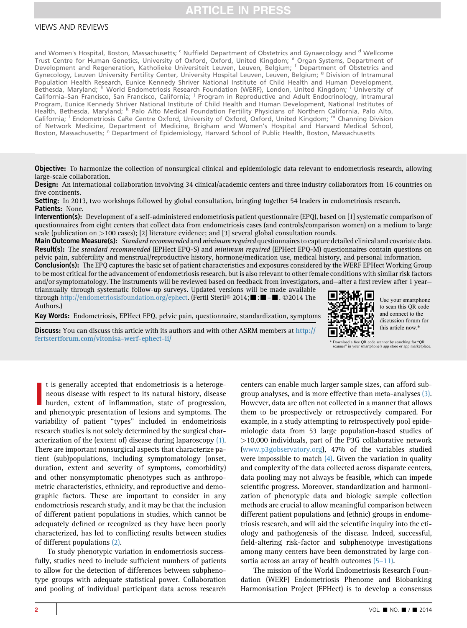### VIEWS AND REVIEWS

and Women's Hospital, Boston, Massachusetts; <sup>c</sup> Nuffield Department of Obstetrics and Gynaecology and <sup>d</sup> Wellcome Trust Centre for Human Genetics, University of Oxford, Oxford, United Kingdom; <sup>e</sup> Organ Systems, Department of Development and Regeneration, Katholieke Universiteit Leuven, Leuven, Belgium; <sup>f</sup> Department of Obstetrics and Gynecology, Leuven University Fertility Center, University Hospital Leuven, Leuven, Belgium; <sup>9</sup> Division of Intramural Population Health Research, Eunice Kennedy Shriver National Institute of Child Health and Human Development, Bethesda, Maryland; <sup>h</sup> World Endometriosis Research Foundation (WERF), London, United Kingdom; <sup>i</sup> University of California–San Francisco, San Francisco, California; <sup>j</sup> Program in Reproductive and Adult Endocrinology, Intramural Program, Eunice Kennedy Shriver National Institute of Child Health and Human Development, National Institutes of Health, Bethesda, Maryland; <sup>k</sup> Palo Alto Medical Foundation Fertility Physicians of Northern California, Palo Alto, California; <sup>I</sup> Endometriosis CaRe Centre Oxford, University of Oxford, Oxford, United Kingdom; <sup>m</sup> Channing Division of Network Medicine, Department of Medicine, Brigham and Women's Hospital and Harvard Medical School,<br>Boston, Massachusetts; '' Department of Epidemiology, Harvard School of Public Health, Boston, Massachusetts

**Objective:** To harmonize the collection of nonsurgical clinical and epidemiologic data relevant to endometriosis research, allowing large-scale collaboration.

**Design:** An international collaboration involving 34 clinical/academic centers and three industry collaborators from 16 countries on five continents.

Setting: In 2013, two workshops followed by global consultation, bringing together 54 leaders in endometriosis research. Patients: None.

Intervention(s): Development of a self-administered endometriosis patient questionnaire (EPQ), based on [1] systematic comparison of questionnaires from eight centers that collect data from endometriosis cases (and controls/comparison women) on a medium to large scale (publication on >100 cases); [2] literature evidence; and [3] several global consultation rounds.

Main Outcome Measure(s): Standard recommended and minimum required questionnaires to capture detailed clinical and covariate data. Result(s): The standard recommended (EPHect EPQ-S) and minimum required (EPHect EPQ-M) questionnaires contain questions on pelvic pain, subfertility and menstrual/reproductive history, hormone/medication use, medical history, and personal information. Conclusion(s): The EPQ captures the basic set of patient characteristics and exposures considered by the WERF EPHect Working Group to be most critical for the advancement of endometriosis research, but is also relevant to other female conditions with similar risk factors

and/or symptomatology. The instruments will be reviewed based on feedback from investigators, and—after a first review after 1 year triannually through systematic follow-up surveys. Updated versions will be made available

through <http://endometriosisfoundation.org/ephect>. (Fertil Steril® 2014;  $\blacksquare$ :  $\blacksquare$  - $\blacksquare$ . ©2014 The Authors.)

Key Words: Endometriosis, EPHect EPQ, pelvic pain, questionnaire, standardization, symptoms



Use your smartphone to scan this QR code and connect to the discussion forum for this article now.\*

Discuss: You can discuss this article with its authors and with other ASRM members at [http://](http://fertstertforum.com/vitonisa-werf-ephect-ii/) [fertstertforum.com/vitonisa-werf-ephect-ii/](http://fertstertforum.com/vitonisa-werf-ephect-ii/)

\* Download a free QR code scanner by searching for "QR scanner" in your smartphone's app store or app marketplace.

It is generally accepted that endometriosis is a heterogeneous disease with respect to its natural history, disease burden, extent of inflammation, state of progression, and phenotypic presentation of lesions and symptoms. t is generally accepted that endometriosis is a heterogeneous disease with respect to its natural history, disease burden, extent of inflammation, state of progression, variability of patient ''types'' included in endometriosis research studies is not solely determined by the surgical characterization of the (extent of) disease during laparoscopy [\(1\).](#page-7-0) There are important nonsurgical aspects that characterize patient (sub)populations, including symptomatology (onset, duration, extent and severity of symptoms, comorbidity) and other nonsymptomatic phenotypes such as anthropometric characteristics, ethnicity, and reproductive and demographic factors. These are important to consider in any endometriosis research study, and it may be that the inclusion of different patient populations in studies, which cannot be adequately defined or recognized as they have been poorly characterized, has led to conflicting results between studies of different populations [\(2\)](#page-7-0).

To study phenotypic variation in endometriosis successfully, studies need to include sufficient numbers of patients to allow for the detection of differences between subphenotype groups with adequate statistical power. Collaboration and pooling of individual participant data across research centers can enable much larger sample sizes, can afford subgroup analyses, and is more effective than meta-analyses [\(3\).](#page-7-0) However, data are often not collected in a manner that allows them to be prospectively or retrospectively compared. For example, in a study attempting to retrospectively pool epidemiologic data from 53 large population-based studies of >10,000 individuals, part of the P3G collaborative network ([www.p3gobservatory.org\)](http://www.p3gobservatory.org), 47% of the variables studied were impossible to match  $(4)$ . Given the variation in quality and complexity of the data collected across disparate centers, data pooling may not always be feasible, which can impede scientific progress. Moreover, standardization and harmonization of phenotypic data and biologic sample collection methods are crucial to allow meaningful comparison between different patient populations and (ethnic) groups in endometriosis research, and will aid the scientific inquiry into the etiology and pathogenesis of the disease. Indeed, successful, field-altering risk-factor and subphenotype investigations among many centers have been demonstrated by large consortia across an array of health outcomes (5–[11\)](#page-7-0).

The mission of the World Endometriosis Research Foundation (WERF) Endometriosis Phenome and Biobanking Harmonisation Project (EPHect) is to develop a consensus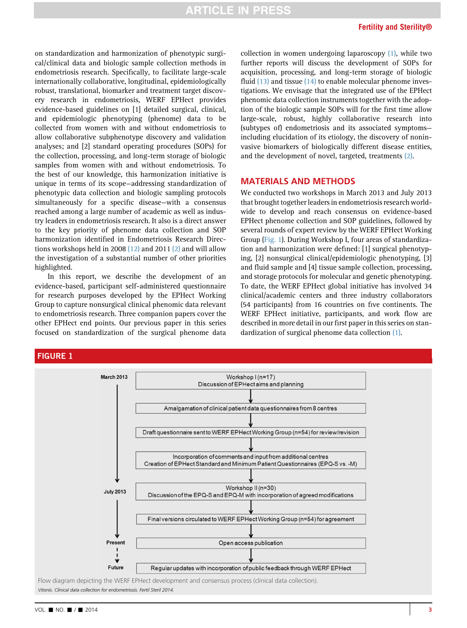on standardization and harmonization of phenotypic surgical/clinical data and biologic sample collection methods in endometriosis research. Specifically, to facilitate large-scale internationally collaborative, longitudinal, epidemiologically robust, translational, biomarker and treatment target discovery research in endometriosis, WERF EPHect provides evidence-based guidelines on [1] detailed surgical, clinical, and epidemiologic phenotyping (phenome) data to be collected from women with and without endometriosis to allow collaborative subphenotype discovery and validation analyses; and [2] standard operating procedures (SOPs) for the collection, processing, and long-term storage of biologic samples from women with and without endometriosis. To the best of our knowledge, this harmonization initiative is unique in terms of its scope—addressing standardization of phenotypic data collection and biologic sampling protocols simultaneously for a specific disease—with a consensus reached among a large number of academic as well as industry leaders in endometriosis research. It also is a direct answer to the key priority of phenome data collection and SOP harmonization identified in Endometriosis Research Directions workshops held in 2008 [\(12\)](#page-7-0) and 2011 [\(2\)](#page-7-0) and will allow the investigation of a substantial number of other priorities highlighted.

In this report, we describe the development of an evidence-based, participant self-administered questionnaire for research purposes developed by the EPHect Working Group to capture nonsurgical clinical phenomic data relevant to endometriosis research. Three companion papers cover the other EPHect end points. Our previous paper in this series focused on standardization of the surgical phenome data

collection in women undergoing laparoscopy [\(1\),](#page-7-0) while two further reports will discuss the development of SOPs for acquisition, processing, and long-term storage of biologic fluid  $(13)$  and tissue  $(14)$  to enable molecular phenome investigations. We envisage that the integrated use of the EPHect phenomic data collection instruments together with the adoption of the biologic sample SOPs will for the first time allow large-scale, robust, highly collaborative research into (subtypes of) endometriosis and its associated symptoms including elucidation of its etiology, the discovery of noninvasive biomarkers of biologically different disease entities, and the development of novel, targeted, treatments [\(2\)](#page-7-0).

# MATERIALS AND METHODS

We conducted two workshops in March 2013 and July 2013 that brought together leaders in endometriosis research worldwide to develop and reach consensus on evidence-based EPHect phenome collection and SOP guidelines, followed by several rounds of expert review by the WERF EPHect Working Group (Fig. 1). During Workshop I, four areas of standardization and harmonization were defined: [1] surgical phenotyping, [2] nonsurgical clinical/epidemiologic phenotyping, [3] and fluid sample and [4] tissue sample collection, processing, and storage protocols for molecular and genetic phenotyping. To date, the WERF EPHect global initiative has involved 34 clinical/academic centers and three industry collaborators (54 participants) from 16 countries on five continents. The WERF EPHect initiative, participants, and work flow are described in more detail in our first paper in this series on standardization of surgical phenome data collection [\(1\)](#page-7-0).



Vitonis. Clinical data collection for endometriosis. Fertil Steril 2014.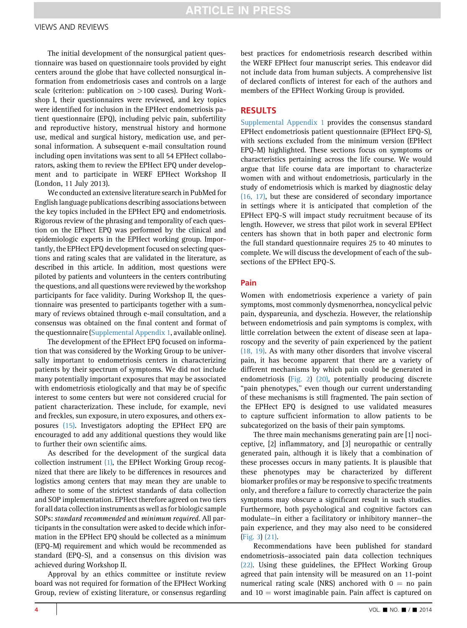The initial development of the nonsurgical patient questionnaire was based on questionnaire tools provided by eight centers around the globe that have collected nonsurgical information from endometriosis cases and controls on a large scale (criterion: publication on >100 cases). During Workshop I, their questionnaires were reviewed, and key topics were identified for inclusion in the EPHect endometriosis patient questionnaire (EPQ), including pelvic pain, subfertility and reproductive history, menstrual history and hormone use, medical and surgical history, medication use, and personal information. A subsequent e-mail consultation round including open invitations was sent to all 54 EPHect collaborators, asking them to review the EPHect EPQ under development and to participate in WERF EPHect Workshop II (London, 11 July 2013).

We conducted an extensive literature search in PubMed for English language publications describing associations between the key topics included in the EPHect EPQ and endometriosis. Rigorous review of the phrasing and temporality of each question on the EPhect EPQ was performed by the clinical and epidemiologic experts in the EPHect working group. Importantly, the EPHect EPQ development focused on selecting questions and rating scales that are validated in the literature, as described in this article. In addition, most questions were piloted by patients and volunteers in the centers contributing the questions, and all questions were reviewed by the workshop participants for face validity. During Workshop II, the questionnaire was presented to participants together with a summary of reviews obtained through e-mail consultation, and a consensus was obtained on the final content and format of the questionnaire (Supplemental Appendix 1, available online).

The development of the EPHect EPQ focused on information that was considered by the Working Group to be universally important to endometriosis centers in characterizing patients by their spectrum of symptoms. We did not include many potentially important exposures that may be associated with endometriosis etiologically and that may be of specific interest to some centers but were not considered crucial for patient characterization. These include, for example, nevi and freckles, sun exposure, in utero exposures, and others exposures [\(15\)](#page-8-0). Investigators adopting the EPHect EPQ are encouraged to add any additional questions they would like to further their own scientific aims.

As described for the development of the surgical data collection instrument [\(1\),](#page-7-0) the EPHect Working Group recognized that there are likely to be differences in resources and logistics among centers that may mean they are unable to adhere to some of the strictest standards of data collection and SOP implementation. EPHect therefore agreed on two tiers for all data collection instruments as well as for biologic sample SOPs: standard recommended and minimum required. All participants in the consultation were asked to decide which information in the EPHect EPQ should be collected as a minimum (EPQ-M) requirement and which would be recommended as standard (EPQ-S), and a consensus on this division was achieved during Workshop II.

Approval by an ethics committee or institute review board was not required for formation of the EPHect Working Group, review of existing literature, or consensus regarding best practices for endometriosis research described within the WERF EPHect four manuscript series. This endeavor did not include data from human subjects. A comprehensive list of declared conflicts of interest for each of the authors and members of the EPHect Working Group is provided.

# RESULTS

Supplemental Appendix 1 provides the consensus standard EPHect endometriosis patient questionnaire (EPHect EPQ-S), with sections excluded from the minimum version (EPHect EPQ-M) highlighted. These sections focus on symptoms or characteristics pertaining across the life course. We would argue that life course data are important to characterize women with and without endometriosis, particularly in the study of endometriosis which is marked by diagnostic delay [\(16, 17\)](#page-8-0), but these are considered of secondary importance in settings where it is anticipated that completion of the EPHect EPQ-S will impact study recruitment because of its length. However, we stress that pilot work in several EPHect centers has shown that in both paper and electronic form the full standard questionnaire requires 25 to 40 minutes to complete. We will discuss the development of each of the subsections of the EPHect EPQ-S.

### Pain

Women with endometriosis experience a variety of pain symptoms, most commonly dysmenorrhea, noncyclical pelvic pain, dyspareunia, and dyschezia. However, the relationship between endometriosis and pain symptoms is complex, with little correlation between the extent of disease seen at laparoscopy and the severity of pain experienced by the patient [\(18, 19\).](#page-8-0) As with many other disorders that involve visceral pain, it has become apparent that there are a variety of different mechanisms by which pain could be generated in endometriosis ([Fig. 2\)](#page-4-0) [\(20\),](#page-8-0) potentially producing discrete "pain phenotypes," even though our current understanding of these mechanisms is still fragmented. The pain section of the EPHect EPQ is designed to use validated measures to capture sufficient information to allow patients to be subcategorized on the basis of their pain symptoms.

The three main mechanisms generating pain are [1] nociceptive, [2] inflammatory, and [3] neuropathic or centrally generated pain, although it is likely that a combination of these processes occurs in many patients. It is plausible that these phenotypes may be characterized by different biomarker profiles or may be responsive to specific treatments only, and therefore a failure to correctly characterize the pain symptoms may obscure a significant result in such studies. Furthermore, both psychological and cognitive factors can modulate—in either a facilitatory or inhibitory manner—the pain experience, and they may also need to be considered ([Fig. 3\)](#page-4-0) [\(21\)](#page-8-0).

Recommendations have been published for standard endometriosis–associated pain data collection techniques [\(22\).](#page-8-0) Using these guidelines, the EPHect Working Group agreed that pain intensity will be measured on an 11-point numerical rating scale (NRS) anchored with  $0 = no$  pain and  $10 =$  worst imaginable pain. Pain affect is captured on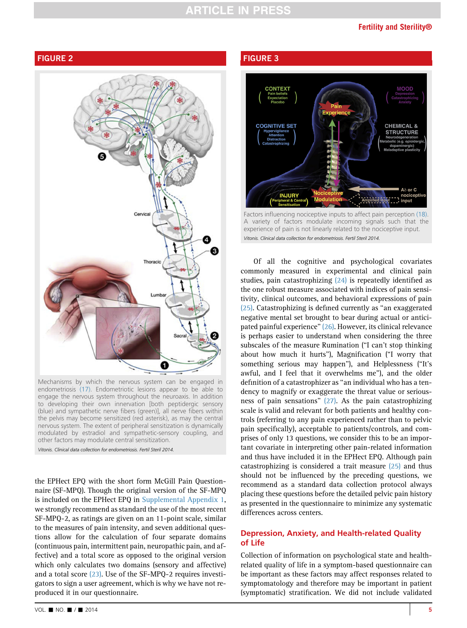# **ARTICLE IN PRESS**

### Fertility and Sterility®

# <span id="page-4-0"></span>FIGURE 2



Mechanisms by which the nervous system can be engaged in endometriosis [\(17\)](#page-8-0). Endometriotic lesions appear to be able to engage the nervous system throughout the neuroaxis. In addition to developing their own innervation [both peptidergic sensory (blue) and sympathetic nerve fibers (green)], all nerve fibers within the pelvis may become sensitized (red asterisk), as may the central nervous system. The extent of peripheral sensitization is dynamically modulated by estradiol and sympathetic-sensory coupling, and other factors may modulate central sensitization.

Vitonis. Clinical data collection for endometriosis. Fertil Steril 2014.

the EPHect EPQ with the short form McGill Pain Questionnaire (SF-MPQ). Though the original version of the SF-MPQ is included on the EPHect EPQ in Supplemental Appendix 1, we strongly recommend as standard the use of the most recent SF-MPQ-2, as ratings are given on an 11-point scale, similar to the measures of pain intensity, and seven additional questions allow for the calculation of four separate domains (continuous pain, intermittent pain, neuropathic pain, and affective) and a total score as opposed to the original version which only calculates two domains (sensory and affective) and a total score [\(23\)](#page-8-0). Use of the SF-MPQ-2 requires investigators to sign a user agreement, which is why we have not reproduced it in our questionnaire.

# FIGURE 3



Factors influencing nociceptive inputs to affect pain perception [\(18\).](#page-8-0) A variety of factors modulate incoming signals such that the experience of pain is not linearly related to the nociceptive input. Vitonis. Clinical data collection for endometriosis. Fertil Steril 2014.

Of all the cognitive and psychological covariates commonly measured in experimental and clinical pain studies, pain catastrophizing [\(24\)](#page-8-0) is repeatedly identified as the one robust measure associated with indices of pain sensitivity, clinical outcomes, and behavioral expressions of pain [\(25\).](#page-8-0) Catastrophizing is defined currently as ''an exaggerated negative mental set brought to bear during actual or anticipated painful experience'' [\(26\)](#page-8-0). However, its clinical relevance is perhaps easier to understand when considering the three subscales of the measure Rumination (''I can't stop thinking about how much it hurts''), Magnification (''I worry that something serious may happen''), and Helplessness (''It's awful, and I feel that it overwhelms me''), and the older definition of a catastrophizer as ''an individual who has a tendency to magnify or exaggerate the threat value or seriousness of pain sensations'' [\(27\).](#page-8-0) As the pain catastrophizing scale is valid and relevant for both patients and healthy controls (referring to any pain experienced rather than to pelvic pain specifically), acceptable to patients/controls, and comprises of only 13 questions, we consider this to be an important covariate in interpreting other pain-related information and thus have included it in the EPHect EPQ. Although pain catastrophizing is considered a trait measure [\(25\)](#page-8-0) and thus should not be influenced by the preceding questions, we recommend as a standard data collection protocol always placing these questions before the detailed pelvic pain history as presented in the questionnaire to minimize any systematic differences across centers.

# Depression, Anxiety, and Health-related Quality of Life

Collection of information on psychological state and healthrelated quality of life in a symptom-based questionnaire can be important as these factors may affect responses related to symptomatology and therefore may be important in patient (symptomatic) stratification. We did not include validated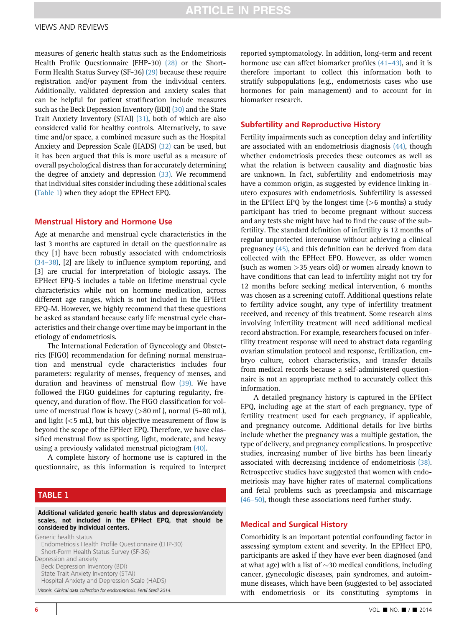measures of generic health status such as the Endometriosis Health Profile Questionnaire (EHP-30) [\(28\)](#page-8-0) or the Short-Form Health Status Survey (SF-36) [\(29\)](#page-8-0) because these require registration and/or payment from the individual centers. Additionally, validated depression and anxiety scales that can be helpful for patient stratification include measures such as the Beck Depression Inventory (BDI) [\(30\)](#page-8-0) and the State Trait Anxiety Inventory (STAI) [\(31\)](#page-8-0), both of which are also considered valid for healthy controls. Alternatively, to save time and/or space, a combined measure such as the Hospital Anxiety and Depression Scale (HADS) [\(32\)](#page-8-0) can be used, but it has been argued that this is more useful as a measure of overall psychological distress than for accurately determining the degree of anxiety and depression [\(33\).](#page-8-0) We recommend that individual sites consider including these additional scales (Table 1) when they adopt the EPHect EPQ.

#### Menstrual History and Hormone Use

Age at menarche and menstrual cycle characteristics in the last 3 months are captured in detail on the questionnaire as they [1] have been robustly associated with endometriosis [\(34](#page-8-0)–38), [2] are likely to influence symptom reporting, and [3] are crucial for interpretation of biologic assays. The EPHect EPQ-S includes a table on lifetime menstrual cycle characteristics while not on hormone medication, across different age ranges, which is not included in the EPHect EPQ-M. However, we highly recommend that these questions be asked as standard because early life menstrual cycle characteristics and their change over time may be important in the etiology of endometriosis.

The International Federation of Gynecology and Obstetrics (FIGO) recommendation for defining normal menstruation and menstrual cycle characteristics includes four parameters: regularity of menses, frequency of menses, and duration and heaviness of menstrual flow [\(39\)](#page-8-0). We have followed the FIGO guidelines for capturing regularity, frequency, and duration of flow. The FIGO classification for volume of menstrual flow is heavy (>80 mL), normal (5–80 mL), and light  $(<5$  mL), but this objective measurement of flow is beyond the scope of the EPHect EPQ. Therefore, we have classified menstrual flow as spotting, light, moderate, and heavy using a previously validated menstrual pictogram [\(40\).](#page-8-0)

A complete history of hormone use is captured in the questionnaire, as this information is required to interpret

# TABLE 1

Additional validated generic health status and depression/anxiety scales, not included in the EPHect EPQ, that should be considered by individual centers.

Generic health status Endometriosis Health Profile Questionnaire (EHP-30) Short-Form Health Status Survey (SF-36) Depression and anxiety Beck Depression Inventory (BDI) State Trait Anxiety Inventory (STAI) Hospital Anxiety and Depression Scale (HADS) Vitonis. Clinical data collection for endometriosis. Fertil Steril 2014.

reported symptomatology. In addition, long-term and recent hormone use can affect biomarker profiles  $(41-43)$ , and it is therefore important to collect this information both to stratify subpopulations (e.g., endometriosis cases who use hormones for pain management) and to account for in biomarker research.

#### Subfertility and Reproductive History

Fertility impairments such as conception delay and infertility are associated with an endometriosis diagnosis [\(44\),](#page-8-0) though whether endometriosis precedes these outcomes as well as what the relation is between causality and diagnostic bias are unknown. In fact, subfertility and endometriosis may have a common origin, as suggested by evidence linking inutero exposures with endometriosis. Subfertility is assessed in the EPHect EPQ by the longest time  $(>6$  months) a study participant has tried to become pregnant without success and any tests she might have had to find the cause of the subfertility. The standard definition of infertility is 12 months of regular unprotected intercourse without achieving a clinical pregnancy [\(45\)](#page-8-0), and this definition can be derived from data collected with the EPHect EPQ. However, as older women (such as women >35 years old) or women already known to have conditions that can lead to infertility might not try for 12 months before seeking medical intervention, 6 months was chosen as a screening cutoff. Additional questions relate to fertility advice sought, any type of infertility treatment received, and recency of this treatment. Some research aims involving infertility treatment will need additional medical record abstraction. For example, researchers focused on infertility treatment response will need to abstract data regarding ovarian stimulation protocol and response, fertilization, embryo culture, cohort characteristics, and transfer details from medical records because a self-administered questionnaire is not an appropriate method to accurately collect this information.

A detailed pregnancy history is captured in the EPHect EPQ, including age at the start of each pregnancy, type of fertility treatment used for each pregnancy, if applicable, and pregnancy outcome. Additional details for live births include whether the pregnancy was a multiple gestation, the type of delivery, and pregnancy complications. In prospective studies, increasing number of live births has been linearly associated with decreasing incidence of endometriosis [\(38\).](#page-8-0) Retrospective studies have suggested that women with endometriosis may have higher rates of maternal complications and fetal problems such as preeclampsia and miscarriage [\(46](#page-8-0)–50), though these associations need further study.

#### Medical and Surgical History

Comorbidity is an important potential confounding factor in assessing symptom extent and severity. In the EPHect EPQ, participants are asked if they have ever been diagnosed (and at what age) with a list of  $\sim$ 30 medical conditions, including cancer, gynecologic diseases, pain syndromes, and autoimmune diseases, which have been (suggested to be) associated with endometriosis or its constituting symptoms in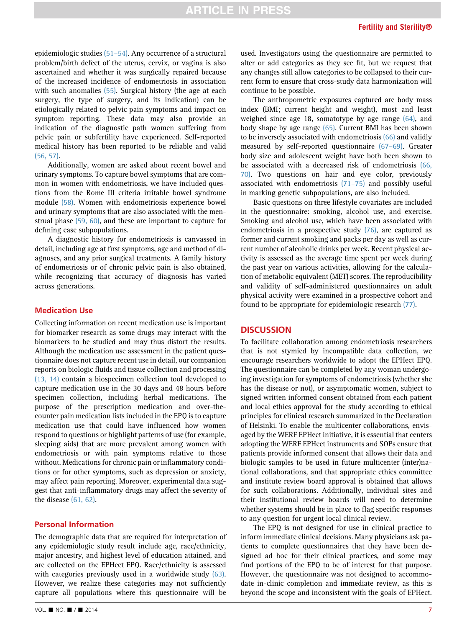epidemiologic studies (51–[54\).](#page-8-0) Any occurrence of a structural problem/birth defect of the uterus, cervix, or vagina is also ascertained and whether it was surgically repaired because of the increased incidence of endometriosis in association with such anomalies [\(55\).](#page-8-0) Surgical history (the age at each surgery, the type of surgery, and its indication) can be etiologically related to pelvic pain symptoms and impact on symptom reporting. These data may also provide an indication of the diagnostic path women suffering from pelvic pain or subfertility have experienced. Self-reported medical history has been reported to be reliable and valid [\(56, 57\)](#page-8-0).

Additionally, women are asked about recent bowel and urinary symptoms. To capture bowel symptoms that are common in women with endometriosis, we have included questions from the Rome III criteria irritable bowel syndrome module [\(58\)](#page-8-0). Women with endometriosis experience bowel and urinary symptoms that are also associated with the menstrual phase [\(59, 60\),](#page-8-0) and these are important to capture for defining case subpopulations.

A diagnostic history for endometriosis is canvassed in detail, including age at first symptoms, age and method of diagnoses, and any prior surgical treatments. A family history of endometriosis or of chronic pelvic pain is also obtained, while recognizing that accuracy of diagnosis has varied across generations.

# Medication Use

Collecting information on recent medication use is important for biomarker research as some drugs may interact with the biomarkers to be studied and may thus distort the results. Although the medication use assessment in the patient questionnaire does not capture recent use in detail, our companion reports on biologic fluids and tissue collection and processing [\(13, 14\)](#page-7-0) contain a biospecimen collection tool developed to capture medication use in the 30 days and 48 hours before specimen collection, including herbal medications. The purpose of the prescription medication and over-thecounter pain medication lists included in the EPQ is to capture medication use that could have influenced how women respond to questions or highlight patterns of use (for example, sleeping aids) that are more prevalent among women with endometriosis or with pain symptoms relative to those without. Medications for chronic pain or inflammatory conditions or for other symptoms, such as depression or anxiety, may affect pain reporting. Moreover, experimental data suggest that anti-inflammatory drugs may affect the severity of the disease [\(61, 62\)](#page-9-0).

#### Personal Information

The demographic data that are required for interpretation of any epidemiologic study result include age, race/ethnicity, major ancestry, and highest level of education attained, and are collected on the EPHect EPQ. Race/ethnicity is assessed with categories previously used in a worldwide study [\(63\).](#page-9-0) However, we realize these categories may not sufficiently capture all populations where this questionnaire will be

used. Investigators using the questionnaire are permitted to alter or add categories as they see fit, but we request that any changes still allow categories to be collapsed to their current form to ensure that cross-study data harmonization will continue to be possible.

The anthropometric exposures captured are body mass index (BMI; current height and weight), most and least weighed since age 18, somatotype by age range [\(64\)](#page-9-0), and body shape by age range [\(65\)](#page-9-0). Current BMI has been shown to be inversely associated with endometriosis [\(66\)](#page-9-0) and validly measured by self-reported questionnaire (67–[69\).](#page-9-0) Greater body size and adolescent weight have both been shown to be associated with a decreased risk of endometriosis [\(66,](#page-9-0) [70\)](#page-9-0). Two questions on hair and eye color, previously associated with endometriosis [\(71](#page-9-0)–75) and possibly useful in marking genetic subpopulations, are also included.

Basic questions on three lifestyle covariates are included in the questionnaire: smoking, alcohol use, and exercise. Smoking and alcohol use, which have been associated with endometriosis in a prospective study [\(76\)](#page-9-0), are captured as former and current smoking and packs per day as well as current number of alcoholic drinks per week. Recent physical activity is assessed as the average time spent per week during the past year on various activities, allowing for the calculation of metabolic equivalent (MET) scores. The reproducibility and validity of self-administered questionnaires on adult physical activity were examined in a prospective cohort and found to be appropriate for epidemiologic research [\(77\)](#page-9-0).

# **DISCUSSION**

To facilitate collaboration among endometriosis researchers that is not stymied by incompatible data collection, we encourage researchers worldwide to adopt the EPHect EPQ. The questionnaire can be completed by any woman undergoing investigation for symptoms of endometriosis (whether she has the disease or not), or asymptomatic women, subject to signed written informed consent obtained from each patient and local ethics approval for the study according to ethical principles for clinical research summarized in the Declaration of Helsinki. To enable the multicenter collaborations, envisaged by the WERF EPHect initiative, it is essential that centers adopting the WERF EPHect instruments and SOPs ensure that patients provide informed consent that allows their data and biologic samples to be used in future multicenter (inter)national collaborations, and that appropriate ethics committee and institute review board approval is obtained that allows for such collaborations. Additionally, individual sites and their institutional review boards will need to determine whether systems should be in place to flag specific responses to any question for urgent local clinical review.

The EPQ is not designed for use in clinical practice to inform immediate clinical decisions. Many physicians ask patients to complete questionnaires that they have been designed ad hoc for their clinical practices, and some may find portions of the EPQ to be of interest for that purpose. However, the questionnaire was not designed to accommodate in-clinic completion and immediate review, as this is beyond the scope and inconsistent with the goals of EPHect.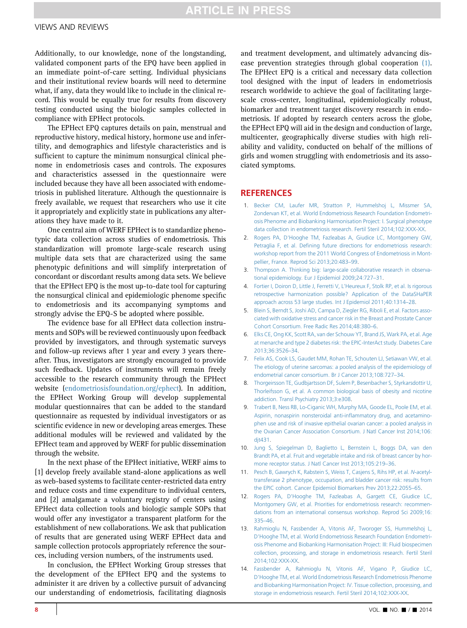# **ARTICLE IN PRESS**

#### <span id="page-7-0"></span>VIEWS AND REVIEWS

Additionally, to our knowledge, none of the longstanding, validated component parts of the EPQ have been applied in an immediate point-of-care setting. Individual physicians and their institutional review boards will need to determine what, if any, data they would like to include in the clinical record. This would be equally true for results from discovery testing conducted using the biologic samples collected in compliance with EPHect protocols.

The EPHect EPQ captures details on pain, menstrual and reproductive history, medical history, hormone use and infertility, and demographics and lifestyle characteristics and is sufficient to capture the minimum nonsurgical clinical phenome in endometriosis cases and controls. The exposures and characteristics assessed in the questionnaire were included because they have all been associated with endometriosis in published literature. Although the questionnaire is freely available, we request that researchers who use it cite it appropriately and explicitly state in publications any alterations they have made to it.

One central aim of WERF EPHect is to standardize phenotypic data collection across studies of endometriosis. This standardization will promote large-scale research using multiple data sets that are characterized using the same phenotypic definitions and will simplify interpretation of concordant or discordant results among data sets. We believe that the EPHect EPQ is the most up-to-date tool for capturing the nonsurgical clinical and epidemiologic phenome specific to endometriosis and its accompanying symptoms and strongly advise the EPQ-S be adopted where possible.

The evidence base for all EPHect data collection instruments and SOPs will be reviewed continuously upon feedback provided by investigators, and through systematic surveys and follow-up reviews after 1 year and every 3 years thereafter. Thus, investigators are strongly encouraged to provide such feedback. Updates of instruments will remain freely accessible to the research community through the EPHect website ([endometriosisfoundation.org/ephect\)](http://endometriosisfoundation.org/ephect). In addition, the EPHect Working Group will develop supplemental modular questionnaires that can be added to the standard questionnaire as requested by individual investigators or as scientific evidence in new or developing areas emerges. These additional modules will be reviewed and validated by the EPHect team and approved by WERF for public dissemination through the website.

In the next phase of the EPHect initiative, WERF aims to [1] develop freely available stand-alone applications as well as web-based systems to facilitate center-restricted data entry and reduce costs and time expenditure to individual centers, and [2] amalgamate a voluntary registry of centers using EPHect data collection tools and biologic sample SOPs that would offer any investigator a transparent platform for the establishment of new collaborations. We ask that publication of results that are generated using WERF EPHect data and sample collection protocols appropriately reference the sources, including version numbers, of the instruments used.

In conclusion, the EPHect Working Group stresses that the development of the EPHect EPQ and the systems to administer it are driven by a collective pursuit of advancing our understanding of endometriosis, facilitating diagnosis

and treatment development, and ultimately advancing disease prevention strategies through global cooperation (1). The EPHect EPQ is a critical and necessary data collection tool designed with the input of leaders in endometriosis research worldwide to achieve the goal of facilitating largescale cross-center, longitudinal, epidemiologically robust, biomarker and treatment target discovery research in endometriosis. If adopted by research centers across the globe, the EPHect EPQ will aid in the design and conduction of large, multicenter, geographically diverse studies with high reliability and validity, conducted on behalf of the millions of girls and women struggling with endometriosis and its associated symptoms.

#### **REFERENCES**

- 1. [Becker CM, Laufer MR, Stratton P, Hummelshoj L, Missmer SA,](http://refhub.elsevier.com/S0015-0282(14)01885-8/sref1d) [Zondervan KT, et al. World Endometriosis Research Foundation Endometri](http://refhub.elsevier.com/S0015-0282(14)01885-8/sref1d)[osis Phenome and Biobanking Harmonisation Project: I. Surgical phenotype](http://refhub.elsevier.com/S0015-0282(14)01885-8/sref1d) [data collection in endometriosis research. Fertil Steril 2014;102:XXX-XX](http://refhub.elsevier.com/S0015-0282(14)01885-8/sref1d).
- 2. [Rogers PA, D'Hooghe TM, Fazleabas A, Giudice LC, Montgomery GW,](http://refhub.elsevier.com/S0015-0282(14)01885-8/sref1) Petraglia F, et al. Defi[ning future directions for endometriosis research:](http://refhub.elsevier.com/S0015-0282(14)01885-8/sref1) [workshop report from the 2011 World Congress of Endometriosis in Mont](http://refhub.elsevier.com/S0015-0282(14)01885-8/sref1)[pellier, France. Reprod Sci 2013;20:483](http://refhub.elsevier.com/S0015-0282(14)01885-8/sref1)–99.
- 3. [Thompson A. Thinking big: large-scale collaborative research in observa](http://refhub.elsevier.com/S0015-0282(14)01885-8/sref2)[tional epidemiology. Eur J Epidemiol 2009;24:727](http://refhub.elsevier.com/S0015-0282(14)01885-8/sref2)–31.
- 4. [Fortier I, Doiron D, Little J, Ferretti V, L'Heureux F, Stolk RP, et al. Is rigorous](http://refhub.elsevier.com/S0015-0282(14)01885-8/sref3) [retrospective harmonization possible? Application of the DataSHaPER](http://refhub.elsevier.com/S0015-0282(14)01885-8/sref3) [approach across 53 large studies. Int J Epidemiol 2011;40:1314](http://refhub.elsevier.com/S0015-0282(14)01885-8/sref3)–28.
- 5. [Blein S, Berndt S, Joshi AD, Campa D, Ziegler RG, Riboli E, et al. Factors asso](http://refhub.elsevier.com/S0015-0282(14)01885-8/sref4)[ciated with oxidative stress and cancer risk in the Breast and Prostate Cancer](http://refhub.elsevier.com/S0015-0282(14)01885-8/sref4) [Cohort Consortium. Free Radic Res 2014;48:380](http://refhub.elsevier.com/S0015-0282(14)01885-8/sref4)–6.
- 6. [Elks CE, Ong KK, Scott RA, van der Schouw YT, Brand JS, Wark PA, et al. Age](http://refhub.elsevier.com/S0015-0282(14)01885-8/sref5) [at menarche and type 2 diabetes risk: the EPIC-InterAct study. Diabetes Care](http://refhub.elsevier.com/S0015-0282(14)01885-8/sref5) [2013;36:3526](http://refhub.elsevier.com/S0015-0282(14)01885-8/sref5)–34.
- 7. [Felix AS, Cook LS, Gaudet MM, Rohan TE, Schouten LJ, Setiawan VW, et al.](http://refhub.elsevier.com/S0015-0282(14)01885-8/sref6) [The etiology of uterine sarcomas: a pooled analysis of the epidemiology of](http://refhub.elsevier.com/S0015-0282(14)01885-8/sref6) [endometrial cancer consortium. Br J Cancer 2013;108:727](http://refhub.elsevier.com/S0015-0282(14)01885-8/sref6)–34.
- 8. [Thorgeirsson TE, Gudbjartsson DF, Sulem P, Besenbacher S, Styrkarsdottir U,](http://refhub.elsevier.com/S0015-0282(14)01885-8/sref7) [Thorleifsson G, et al. A common biological basis of obesity and nicotine](http://refhub.elsevier.com/S0015-0282(14)01885-8/sref7) [addiction. Transl Psychiatry 2013;3:e308.](http://refhub.elsevier.com/S0015-0282(14)01885-8/sref7)
- 9. [Trabert B, Ness RB, Lo-Ciganic WH, Murphy MA, Goode EL, Poole EM, et al.](http://refhub.elsevier.com/S0015-0282(14)01885-8/sref8) [Aspirin, nonaspirin nonsteroidal anti-in](http://refhub.elsevier.com/S0015-0282(14)01885-8/sref8)flammatory drug, and acetamino[phen use and risk of invasive epithelial ovarian cancer: a pooled analysis in](http://refhub.elsevier.com/S0015-0282(14)01885-8/sref8) [the Ovarian Cancer Association Consortium. J Natl Cancer Inst 2014;106:](http://refhub.elsevier.com/S0015-0282(14)01885-8/sref8) [djt431.](http://refhub.elsevier.com/S0015-0282(14)01885-8/sref8)
- 10. [Jung S, Spiegelman D, Baglietto L, Bernstein L, Boggs DA, van den](http://refhub.elsevier.com/S0015-0282(14)01885-8/sref9) [Brandt PA, et al. Fruit and vegetable intake and risk of breast cancer by hor](http://refhub.elsevier.com/S0015-0282(14)01885-8/sref9)[mone receptor status. J Natl Cancer Inst 2013;105:219](http://refhub.elsevier.com/S0015-0282(14)01885-8/sref9)–36.
- 11. [Pesch B, Gawrych K, Rabstein S, Weiss T, Casjens S, Rihs HP, et al.](http://refhub.elsevier.com/S0015-0282(14)01885-8/sref10) N-acetyl[transferase 2 phenotype, occupation, and bladder cancer risk: results from](http://refhub.elsevier.com/S0015-0282(14)01885-8/sref10) [the EPIC cohort. Cancer Epidemiol Biomarkers Prev 2013;22:2055](http://refhub.elsevier.com/S0015-0282(14)01885-8/sref10)–65.
- 12. [Rogers PA, D'Hooghe TM, Fazleabas A, Gargett CE, Giudice LC,](http://refhub.elsevier.com/S0015-0282(14)01885-8/sref11) [Montgomery GW, et al. Priorities for endometriosis research: recommen](http://refhub.elsevier.com/S0015-0282(14)01885-8/sref11)[dations from an international consensus workshop. Reprod Sci 2009;16:](http://refhub.elsevier.com/S0015-0282(14)01885-8/sref11) [335](http://refhub.elsevier.com/S0015-0282(14)01885-8/sref11)–46.
- 13. [Rahmioglu N, Fassbender A, Vitonis AF, Tworoger SS, Hummelshoj L,](http://refhub.elsevier.com/S0015-0282(14)01885-8/sref13) [D'Hooghe TM, et al. World Endometriosis Research Foundation Endometri](http://refhub.elsevier.com/S0015-0282(14)01885-8/sref13)[osis Phenome and Biobanking Harmonisation Project: III: Fluid biospecimen](http://refhub.elsevier.com/S0015-0282(14)01885-8/sref13) [collection, processing, and storage in endometriosis research. Fertil Steril](http://refhub.elsevier.com/S0015-0282(14)01885-8/sref13) [2014;102:XXX-XX.](http://refhub.elsevier.com/S0015-0282(14)01885-8/sref13)
- 14. [Fassbender A, Rahmioglu N, Vitonis AF, Vigano P, Giudice LC,](http://refhub.elsevier.com/S0015-0282(14)01885-8/sref14d) [D'Hooghe TM, et al. World Endometriosis Research Endometriosis Phenome](http://refhub.elsevier.com/S0015-0282(14)01885-8/sref14d) [and Biobanking Harmonisation Project: IV. Tissue collection, processing, and](http://refhub.elsevier.com/S0015-0282(14)01885-8/sref14d) [storage in endometriosis research. Fertil Steril 2014;102:XXX-XX.](http://refhub.elsevier.com/S0015-0282(14)01885-8/sref14d)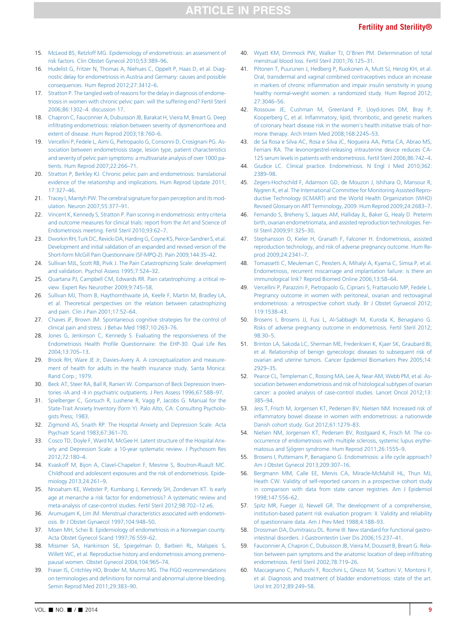- <span id="page-8-0"></span>15. [McLeod BS, Retzloff MG. Epidemiology of endometriosis: an assessment of](http://refhub.elsevier.com/S0015-0282(14)01885-8/sref12) [risk factors. Clin Obstet Gynecol 2010;53:389](http://refhub.elsevier.com/S0015-0282(14)01885-8/sref12)–96.
- 16. [Hudelist G, Fritzer N, Thomas A, Niehues C, Oppelt P, Haas D, et al. Diag](http://refhub.elsevier.com/S0015-0282(14)01885-8/sref13d)[nostic delay for endometriosis in Austria and Germany: causes and possible](http://refhub.elsevier.com/S0015-0282(14)01885-8/sref13d) [consequences. Hum Reprod 2012;27:3412](http://refhub.elsevier.com/S0015-0282(14)01885-8/sref13d)–6.
- 17. [Stratton P. The tangled web of reasons for the delay in diagnosis of endome](http://refhub.elsevier.com/S0015-0282(14)01885-8/sref14)[triosis in women with chronic pelvic pain: will the suffering end? Fertil Steril](http://refhub.elsevier.com/S0015-0282(14)01885-8/sref14) 2006;86:1302–[4. discussion 17](http://refhub.elsevier.com/S0015-0282(14)01885-8/sref14).
- 18. [Chapron C, Fauconnier A, Dubuisson JB, Barakat H, Vieira M, Breart G. Deep](http://refhub.elsevier.com/S0015-0282(14)01885-8/sref15) infi[ltrating endometriosis: relation between severity of dysmenorrhoea and](http://refhub.elsevier.com/S0015-0282(14)01885-8/sref15) [extent of disease. Hum Reprod 2003;18:760](http://refhub.elsevier.com/S0015-0282(14)01885-8/sref15)–6.
- 19. [Vercellini P, Fedele L, Aimi G, Pietropaolo G, Consonni D, Crosignani PG. As](http://refhub.elsevier.com/S0015-0282(14)01885-8/sref16)[sociation between endometriosis stage, lesion type, patient characteristics](http://refhub.elsevier.com/S0015-0282(14)01885-8/sref16) [and severity of pelvic pain symptoms: a multivariate analysis of over 1000 pa](http://refhub.elsevier.com/S0015-0282(14)01885-8/sref16)[tients. Hum Reprod 2007;22:266](http://refhub.elsevier.com/S0015-0282(14)01885-8/sref16)–71.
- 20. [Stratton P, Berkley KJ. Chronic pelvic pain and endometriosis: translational](http://refhub.elsevier.com/S0015-0282(14)01885-8/sref17) [evidence of the relationship and implications. Hum Reprod Update 2011;](http://refhub.elsevier.com/S0015-0282(14)01885-8/sref17) [17:327](http://refhub.elsevier.com/S0015-0282(14)01885-8/sref17)–46.
- 21. [Tracey I, Mantyh PW. The cerebral signature for pain perception and its mod](http://refhub.elsevier.com/S0015-0282(14)01885-8/sref18)[ulation. Neuron 2007;55:377](http://refhub.elsevier.com/S0015-0282(14)01885-8/sref18)–91.
- 22. [Vincent K, Kennedy S, Stratton P. Pain scoring in endometriosis: entry criteria](http://refhub.elsevier.com/S0015-0282(14)01885-8/sref19) [and outcome measures for clinical trials: report from the Art and Science of](http://refhub.elsevier.com/S0015-0282(14)01885-8/sref19) [Endometriosis meeting. Fertil Steril 2010;93:62](http://refhub.elsevier.com/S0015-0282(14)01885-8/sref19)–7.
- 23. Dworkin RH, Turk DC, Revicki DA, Harding G, Coyne KS, Peirce-Sandner S, et al. [Development and initial validation of an expanded and revised version of the](http://refhub.elsevier.com/S0015-0282(14)01885-8/sref20) [Short-form McGill Pain Questionnaire \(SF-MPQ-2\). Pain 2009;144:35](http://refhub.elsevier.com/S0015-0282(14)01885-8/sref20)–42.
- 24. [Sullivan MJL, Scott RB, Pivik J. The Pain Catastrophizing Scale: development](http://refhub.elsevier.com/S0015-0282(14)01885-8/sref21) [and validation. Psychol Assess 1995;7:524](http://refhub.elsevier.com/S0015-0282(14)01885-8/sref21)–32.
- 25. [Quartana PJ, Campbell CM, Edwards RR. Pain catastrophizing: a critical re](http://refhub.elsevier.com/S0015-0282(14)01885-8/sref22)[view. Expert Rev Neurother 2009;9:745](http://refhub.elsevier.com/S0015-0282(14)01885-8/sref22)–58.
- 26. [Sullivan MJ, Thorn B, Haythornthwaite JA, Keefe F, Martin M, Bradley LA,](http://refhub.elsevier.com/S0015-0282(14)01885-8/sref23) [et al. Theoretical perspectives on the relation between catastrophizing](http://refhub.elsevier.com/S0015-0282(14)01885-8/sref23) [and pain. Clin J Pain 2001;17:52](http://refhub.elsevier.com/S0015-0282(14)01885-8/sref23)–64.
- 27. [Chaves JF, Brown JM. Spontaneous cognitive strategies for the control of](http://refhub.elsevier.com/S0015-0282(14)01885-8/sref24) [clinical pain and stress. J Behav Med 1987;10:263](http://refhub.elsevier.com/S0015-0282(14)01885-8/sref24)–76.
- 28. [Jones G, Jenkinson C, Kennedy S. Evaluating the responsiveness of the](http://refhub.elsevier.com/S0015-0282(14)01885-8/sref25) Endometriosis Health Profi[le Questionnaire: the EHP-30. Qual Life Res](http://refhub.elsevier.com/S0015-0282(14)01885-8/sref25) [2004;13:705](http://refhub.elsevier.com/S0015-0282(14)01885-8/sref25)–13.
- 29. [Brook RH, Ware JE Jr, Davies-Avery A. A conceptualization and measure](http://refhub.elsevier.com/S0015-0282(14)01885-8/sref26)[ment of health for adults in the health insurance study. Santa Monica:](http://refhub.elsevier.com/S0015-0282(14)01885-8/sref26) [Rand Corp.; 1979](http://refhub.elsevier.com/S0015-0282(14)01885-8/sref26).
- 30. [Beck AT, Steer RA, Ball R, Ranieri W. Comparison of Beck Depression Inven](http://refhub.elsevier.com/S0015-0282(14)01885-8/sref27)[tories -IA and -II in psychiatric outpatients. J Pers Assess 1996;67:588](http://refhub.elsevier.com/S0015-0282(14)01885-8/sref27)–97.
- 31. [Spielberger C, Gorsuch R, Lushene R, Vagg P, Jacobs G. Manual for the](http://refhub.elsevier.com/S0015-0282(14)01885-8/sref28) [State-Trait Anxiety Inventory \(form Y\). Palo Alto, CA: Consulting Psycholo](http://refhub.elsevier.com/S0015-0282(14)01885-8/sref28)[gists Press; 1983](http://refhub.elsevier.com/S0015-0282(14)01885-8/sref28).
- 32. [Zigmond AS, Snaith RP. The Hospital Anxiety and Depression Scale. Acta](http://refhub.elsevier.com/S0015-0282(14)01885-8/sref29) [Psychiatr Scand 1983;67:361](http://refhub.elsevier.com/S0015-0282(14)01885-8/sref29)–70.
- 33. [Cosco TD, Doyle F, Ward M, McGee H. Latent structure of the Hospital Anx](http://refhub.elsevier.com/S0015-0282(14)01885-8/sref30)[iety and Depression Scale: a 10-year systematic review. J Psychosom Res](http://refhub.elsevier.com/S0015-0282(14)01885-8/sref30) [2012;72:180](http://refhub.elsevier.com/S0015-0282(14)01885-8/sref30)–4.
- 34. [Kvaskoff M, Bijon A, Clavel-Chapelon F, Mesrine S, Boutron-Ruault MC.](http://refhub.elsevier.com/S0015-0282(14)01885-8/sref31) [Childhood and adolescent exposures and the risk of endometriosis. Epide](http://refhub.elsevier.com/S0015-0282(14)01885-8/sref31)[miology 2013;24:261](http://refhub.elsevier.com/S0015-0282(14)01885-8/sref31)–9.
- 35. [Nnoaham KE, Webster P, Kumbang J, Kennedy SH, Zondervan KT. Is early](http://refhub.elsevier.com/S0015-0282(14)01885-8/sref32) [age at menarche a risk factor for endometriosis? A systematic review and](http://refhub.elsevier.com/S0015-0282(14)01885-8/sref32) [meta-analysis of case-control studies. Fertil Steril 2012;98:702](http://refhub.elsevier.com/S0015-0282(14)01885-8/sref32)–12.e6.
- 36. [Arumugam K, Lim JM. Menstrual characteristics associated with endometri](http://refhub.elsevier.com/S0015-0282(14)01885-8/sref33)[osis. Br J Obstet Gynaecol 1997;104:948](http://refhub.elsevier.com/S0015-0282(14)01885-8/sref33)–50.
- 37. [Moen MH, Schei B. Epidemiology of endometriosis in a Norwegian county.](http://refhub.elsevier.com/S0015-0282(14)01885-8/sref34) [Acta Obstet Gynecol Scand 1997;76:559](http://refhub.elsevier.com/S0015-0282(14)01885-8/sref34)–62.
- 38. [Missmer SA, Hankinson SE, Spiegelman D, Barbieri RL, Malspeis S,](http://refhub.elsevier.com/S0015-0282(14)01885-8/sref35) [Willett WC, et al. Reproductive history and endometriosis among premeno](http://refhub.elsevier.com/S0015-0282(14)01885-8/sref35)[pausal women. Obstet Gynecol 2004;104:965](http://refhub.elsevier.com/S0015-0282(14)01885-8/sref35)–74.
- 39. [Fraser IS, Critchley HO, Broder M, Munro MG. The FIGO recommendations](http://refhub.elsevier.com/S0015-0282(14)01885-8/sref36) on terminologies and defi[nitions for normal and abnormal uterine bleeding.](http://refhub.elsevier.com/S0015-0282(14)01885-8/sref36) [Semin Reprod Med 2011;29:383](http://refhub.elsevier.com/S0015-0282(14)01885-8/sref36)–90.
- 40. [Wyatt KM, Dimmock PW, Walker TJ, O'Brien PM. Determination of total](http://refhub.elsevier.com/S0015-0282(14)01885-8/sref37) [menstrual blood loss. Fertil Steril 2001;76:125](http://refhub.elsevier.com/S0015-0282(14)01885-8/sref37)–31.
- 41. [Piltonen T, Puurunen J, Hedberg P, Ruokonen A, Mutt SJ, Herzig KH, et al.](http://refhub.elsevier.com/S0015-0282(14)01885-8/sref38) [Oral, transdermal and vaginal combined contraceptives induce an increase](http://refhub.elsevier.com/S0015-0282(14)01885-8/sref38) in markers of chronic infl[ammation and impair insulin sensitivity in young](http://refhub.elsevier.com/S0015-0282(14)01885-8/sref38) [healthy normal-weight women: a randomized study. Hum Reprod 2012;](http://refhub.elsevier.com/S0015-0282(14)01885-8/sref38) [27:3046](http://refhub.elsevier.com/S0015-0282(14)01885-8/sref38)–56.
- 42. [Rossouw JE, Cushman M, Greenland P, Lloyd-Jones DM, Bray P,](http://refhub.elsevier.com/S0015-0282(14)01885-8/sref39) Kooperberg C, et al. Infl[ammatory, lipid, thrombotic, and genetic markers](http://refhub.elsevier.com/S0015-0282(14)01885-8/sref39) [of coronary heart disease risk in the women's health initiative trials of hor](http://refhub.elsevier.com/S0015-0282(14)01885-8/sref39)[mone therapy. Arch Intern Med 2008;168:2245](http://refhub.elsevier.com/S0015-0282(14)01885-8/sref39)–53.
- 43. [de Sa Rosa e Silva AC, Rosa e Silva JC, Nogueira AA, Petta CA, Abrao MS,](http://refhub.elsevier.com/S0015-0282(14)01885-8/sref40) [Ferriani RA. The levonorgestrel-releasing intrauterine device reduces CA-](http://refhub.elsevier.com/S0015-0282(14)01885-8/sref40)[125 serum levels in patients with endometriosis. Fertil Steril 2006;86:742](http://refhub.elsevier.com/S0015-0282(14)01885-8/sref40)–4.
- 44. [Giudice LC. Clinical practice. Endometriosis. N Engl J Med 2010;362:](http://refhub.elsevier.com/S0015-0282(14)01885-8/sref41) [2389](http://refhub.elsevier.com/S0015-0282(14)01885-8/sref41)–98.
- 45. [Zegers-Hochschild F, Adamson GD, de Mouzon J, Ishihara O, Mansour R,](http://refhub.elsevier.com/S0015-0282(14)01885-8/sref42) [Nygren K, et al. The International Committee for Monitoring Assisted Repro](http://refhub.elsevier.com/S0015-0282(14)01885-8/sref42)[ductive Technology \(ICMART\) and the World Health Organization \(WHO\)](http://refhub.elsevier.com/S0015-0282(14)01885-8/sref42) [Revised Glossary on ART Terminology, 2009. Hum Reprod 2009;24:2683](http://refhub.elsevier.com/S0015-0282(14)01885-8/sref42)–7.
- 46. [Fernando S, Breheny S, Jaques AM, Halliday JL, Baker G, Healy D. Preterm](http://refhub.elsevier.com/S0015-0282(14)01885-8/sref43) [birth, ovarian endometriomata, and assisted reproduction technologies. Fer](http://refhub.elsevier.com/S0015-0282(14)01885-8/sref43)[til Steril 2009;91:325](http://refhub.elsevier.com/S0015-0282(14)01885-8/sref43)–30.
- 47. [Stephansson O, Kieler H, Granath F, Falconer H. Endometriosis, assisted](http://refhub.elsevier.com/S0015-0282(14)01885-8/sref44) [reproduction technology, and risk of adverse pregnancy outcome. Hum Re](http://refhub.elsevier.com/S0015-0282(14)01885-8/sref44)[prod 2009;24:2341](http://refhub.elsevier.com/S0015-0282(14)01885-8/sref44)–7.
- 48. [Tomassetti C, Meuleman C, Pexsters A, Mihalyi A, Kyama C, Simsa P, et al.](http://refhub.elsevier.com/S0015-0282(14)01885-8/sref45) [Endometriosis, recurrent miscarriage and implantation failure: is there an](http://refhub.elsevier.com/S0015-0282(14)01885-8/sref45) [immunological link? Reprod Biomed Online 2006;13:58](http://refhub.elsevier.com/S0015-0282(14)01885-8/sref45)–64.
- 49. [Vercellini P, Parazzini F, Pietropaolo G, Cipriani S, Frattaruolo MP, Fedele L.](http://refhub.elsevier.com/S0015-0282(14)01885-8/sref46) [Pregnancy outcome in women with peritoneal, ovarian and rectovaginal](http://refhub.elsevier.com/S0015-0282(14)01885-8/sref46) [endometriosis: a retrospective cohort study. Br J Obstet Gynaecol 2012;](http://refhub.elsevier.com/S0015-0282(14)01885-8/sref46) [119:1538](http://refhub.elsevier.com/S0015-0282(14)01885-8/sref46)–43.
- 50. [Brosens I, Brosens JJ, Fusi L, Al-Sabbagh M, Kuroda K, Benagiano G.](http://refhub.elsevier.com/S0015-0282(14)01885-8/sref47) [Risks of adverse pregnancy outcome in endometriosis. Fertil Steril 2012;](http://refhub.elsevier.com/S0015-0282(14)01885-8/sref47) [98:30](http://refhub.elsevier.com/S0015-0282(14)01885-8/sref47)–5.
- 51. [Brinton LA, Sakoda LC, Sherman ME, Frederiksen K, Kjaer SK, Graubard BI,](http://refhub.elsevier.com/S0015-0282(14)01885-8/sref48) [et al. Relationship of benign gynecologic diseases to subsequent risk of](http://refhub.elsevier.com/S0015-0282(14)01885-8/sref48) [ovarian and uterine tumors. Cancer Epidemiol Biomarkers Prev 2005;14:](http://refhub.elsevier.com/S0015-0282(14)01885-8/sref48) [2929](http://refhub.elsevier.com/S0015-0282(14)01885-8/sref48)–35.
- 52. [Pearce CL, Templeman C, Rossing MA, Lee A, Near AM, Webb PM, et al. As](http://refhub.elsevier.com/S0015-0282(14)01885-8/sref49)[sociation between endometriosis and risk of histological subtypes of ovarian](http://refhub.elsevier.com/S0015-0282(14)01885-8/sref49) [cancer: a pooled analysis of case-control studies. Lancet Oncol 2012;13:](http://refhub.elsevier.com/S0015-0282(14)01885-8/sref49) [385](http://refhub.elsevier.com/S0015-0282(14)01885-8/sref49)–94.
- 53. [Jess T, Frisch M, Jorgensen KT, Pedersen BV, Nielsen NM. Increased risk of](http://refhub.elsevier.com/S0015-0282(14)01885-8/sref50) infl[ammatory bowel disease in women with endometriosis: a nationwide](http://refhub.elsevier.com/S0015-0282(14)01885-8/sref50) [Danish cohort study. Gut 2012;61:1279](http://refhub.elsevier.com/S0015-0282(14)01885-8/sref50)–83.
- 54. [Nielsen NM, Jorgensen KT, Pedersen BV, Rostgaard K, Frisch M. The co](http://refhub.elsevier.com/S0015-0282(14)01885-8/sref51)[occurrence of endometriosis with multiple sclerosis, systemic lupus erythe](http://refhub.elsevier.com/S0015-0282(14)01885-8/sref51)matosus and Sjögren syndrome. Hum Reprod 2011;26:1555-9.
- 55. [Brosens I, Puttemans P, Benagiano G. Endometriosis: a life cycle approach?](http://refhub.elsevier.com/S0015-0282(14)01885-8/sref52) [Am J Obstet Gynecol 2013;209:307](http://refhub.elsevier.com/S0015-0282(14)01885-8/sref52)–16.
- 56. [Bergmann MM, Calle EE, Mervis CA, Miracle-McMahill HL, Thun MJ,](http://refhub.elsevier.com/S0015-0282(14)01885-8/sref53) [Heath CW. Validity of self-reported cancers in a prospective cohort study](http://refhub.elsevier.com/S0015-0282(14)01885-8/sref53) [in comparison with data from state cancer registries. Am J Epidemiol](http://refhub.elsevier.com/S0015-0282(14)01885-8/sref53) [1998;147:556](http://refhub.elsevier.com/S0015-0282(14)01885-8/sref53)–62.
- 57. [Spitz MR, Fueger JJ, Newell GR. The development of a comprehensive,](http://refhub.elsevier.com/S0015-0282(14)01885-8/sref54) [institution-based patient risk evaluation program: II. Validity and reliability](http://refhub.elsevier.com/S0015-0282(14)01885-8/sref54) [of questionnaire data. Am J Prev Med 1988;4:188](http://refhub.elsevier.com/S0015-0282(14)01885-8/sref54)–93.
- 58. [Drossman DA, Dumitrascu DL. Rome III: New standard for functional gastro](http://refhub.elsevier.com/S0015-0282(14)01885-8/sref55)[intestinal disorders. J Gastrointestin Liver Dis 2006;15:237](http://refhub.elsevier.com/S0015-0282(14)01885-8/sref55)–41.
- 59. [Fauconnier A, Chapron C, Dubuisson JB, Vieira M, Dousset B, Breart G. Rela](http://refhub.elsevier.com/S0015-0282(14)01885-8/sref56)[tion between pain symptoms and the anatomic location of deep in](http://refhub.elsevier.com/S0015-0282(14)01885-8/sref56)filtrating [endometriosis. Fertil Steril 2002;78:719](http://refhub.elsevier.com/S0015-0282(14)01885-8/sref56)–26.
- 60. [Maccagnano C, Pellucchi F, Rocchini L, Ghezzi M, Scattoni V, Montorsi F,](http://refhub.elsevier.com/S0015-0282(14)01885-8/sref57) [et al. Diagnosis and treatment of bladder endometriosis: state of the art.](http://refhub.elsevier.com/S0015-0282(14)01885-8/sref57) [Urol Int 2012;89:249](http://refhub.elsevier.com/S0015-0282(14)01885-8/sref57)–58.